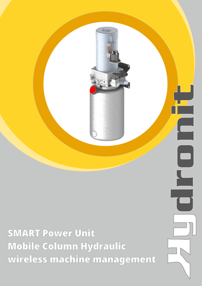

SMART Power Unit Mobile Column Hydraulic wireless machine management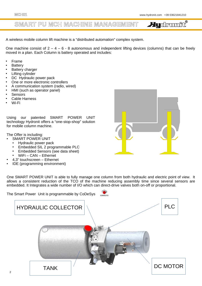#### **SMART PU MCH MACHINE MANAGEMENT**

**Hudromit**®

A wireless mobile column lift machine is a "distributed automation" complex system.

One machine consist of  $2 - 4 - 6 - 8$  autonomous and independent lifting devices (columns) that can be freely moved in a plan. Each Column is battery operated and includes:

- **Frame**
- **Battery**
- **Battery charger**
- **Lifting cylinder**
- DC Hydraulic power pack
- One or more electronic controllers
- A communication system (radio, wired)
- HMI (such as operator panel)
- **Sensors**
- **Cable Harness**
- Wi-Fi

Using our patented SMART POWER UNIT technology Hydronit offers a "one-stop-shop" solution for mobile column machine.

The Offer is including:

- **SMART POWER UNIT** 
	- Hydraulic power pack
	- Embedded SIL 2 programmable PLC
	- Embedded Sensors (see data sheet)
	- WiFi CAN Ethernet
	- 4,3" touchscreen Ethernet
- IDE (programming environment)

One SMART POWER UNIT is able to fully manage one column from both hydraulic and electric point of view. It allows a consistent reduction of the TCO of the machine reducing assembly time since several sensors are embedded. It Integrates a wide number of I/O which can direct-drive valves both on-off or proportional.



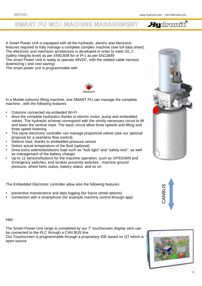### **SMART PU MCH MACHINE MANAGEMENT**

**Hydromic**®

A Smart Power Unit is equipped with all the hydraulic, electric and electronic features required to fully manage a complete complex machine (see full data sheet). The electronic and mechanic architecture is developed in order to meet SIL 2 (safety integrity level) as per EN61508 for or Pl c as per EN13849 The smart Power Unit is ready to operate 48VDC, with the related cable harness downsizing ( and cost saving) The smart power unit is programmable with



In a Mobile coloumn lifting machine, one SMART PU can manage the complete machine , with the following features:

- Columns connected via embeded WI-FI
- drive the complete hydraulics thanks to electric motor, pump and embedded valves. The hydraulic scheme correspond with the strictly necessary circuit to lift and lower the vertical mast. The basic circuit allow three speeds and lifting and three speed lowering.
- The same electronic controller can manage proportinal valves (see our optional proposal for a seamless flow control).
- Detects load, thanks to embedded pressure sensor
- Detect actual temperature of the fluid (optional)
- Drive extra solenoids/electric load such as "lock light" and "safety lock", as well as management of the battery charger
- Up to 12 sensors/buttons for the machine operation, such as UP/DOWN and Emergency switches, end strokes proximity switches , machine ground pressure, wheel forks status, battery status and so on

The Embedded Electronic controller allow also the following features:

- preventive maintenance and data logging (for future rental options)
- connection with a smartphone (for example machine control through app)

HMI:

The Smart-Power-Unit range is completed by our 7" touchscreen display wich can be connected to the PLC through a CAN BUS line.

Our Touchscreen is programmable through a proprietary IDE based on QT which is open-source





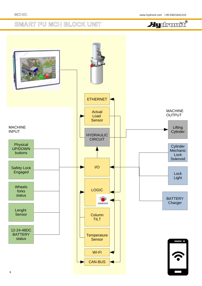## **SMART PU MCH BLOCK UNIT**



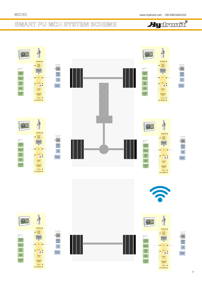## **SMART PU MCH SYSTEM SCHEME**

# **Audromit**®

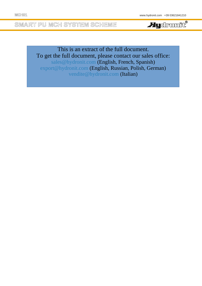**SMART PU MCH SYSTEM SCHEME**

**Hudronic**®

This is an extract of the full document. To get the full document, please contact our sales office: [sales@hydronit.com](mailto:sales@hydronit.com) (English, French, Spanish) [export@hydronit.com](mailto:export@hydronit.com) (English, Russian, Polish, German) [vendite@hydronit.com](mailto:vendite@hydronit.com) (Italian)